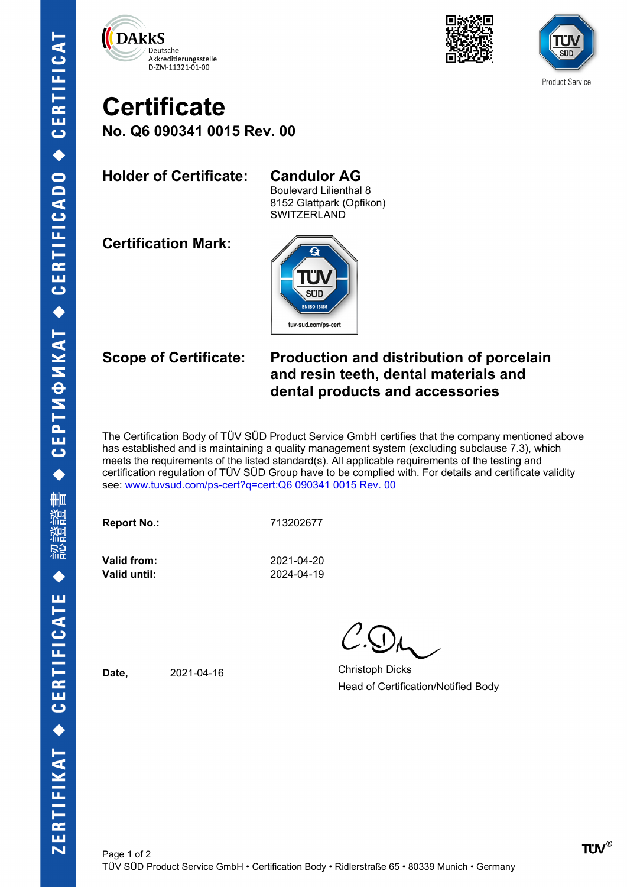





## **Certificate No. Q6 090341 0015 Rev. 00**

**Holder of Certificate: Candulor AG**

Boulevard Lilienthal 8 8152 Glattpark (Opfikon) SWITZERLAND

**Certification Mark:**



### **Scope of Certificate: Production and distribution of porcelain and resin teeth, dental materials and dental products and accessories**

The Certification Body of TÜV SÜD Product Service GmbH certifies that the company mentioned above has established and is maintaining a quality management system (excluding subclause 7.3), which meets the requirements of the listed standard(s). All applicable requirements of the testing and certification regulation of TÜV SÜD Group have to be complied with. For details and certificate validity see: [www.tuvsud.com/ps-cert?q=cert:Q6 090341 0015 Rev. 00](http://www.tuvsud.com/ps-cert?q=cert:Q6%20090341%200015%20Rev.%2000%C2%A0) 

**Report No.:** 713202677

**Valid until:** 2024-04-19

**Valid from:** 2021-04-20

Date, 2021-04-16 Christoph Dicks Head of Certification/Notified Body